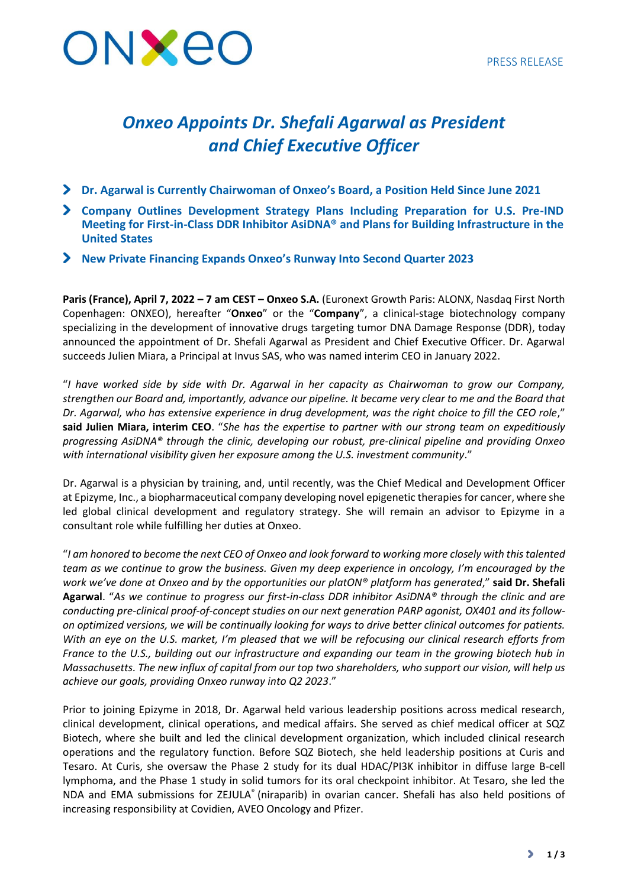

# *Onxeo Appoints Dr. Shefali Agarwal as President and Chief Executive Officer*

- **Dr. Agarwal is Currently Chairwoman of Onxeo's Board, a Position Held Since June 2021**
- **Company Outlines Development Strategy Plans Including Preparation for U.S. Pre-IND Meeting for First-in-Class DDR Inhibitor AsiDNA® and Plans for Building Infrastructure in the United States**
- **New Private Financing Expands Onxeo's Runway Into Second Quarter 2023**

**Paris (France), April 7, 2022 – 7 am CEST – Onxeo S.A.** (Euronext Growth Paris: ALONX, Nasdaq First North Copenhagen: ONXEO), hereafter "**Onxeo**" or the "**Company**", a clinical-stage biotechnology company specializing in the development of innovative drugs targeting tumor DNA Damage Response (DDR), today announced the appointment of Dr. Shefali Agarwal as President and Chief Executive Officer. Dr. Agarwal succeeds Julien Miara, a Principal at Invus SAS, who was named interim CEO in January 2022.

"*I have worked side by side with Dr. Agarwal in her capacity as Chairwoman to grow our Company, strengthen our Board and, importantly, advance our pipeline. It became very clear to me and the Board that Dr. Agarwal, who has extensive experience in drug development, was the right choice to fill the CEO role*," **said Julien Miara, interim CEO**. "*She has the expertise to partner with our strong team on expeditiously progressing AsiDNA® through the clinic, developing our robust, pre-clinical pipeline and providing Onxeo with international visibility given her exposure among the U.S. investment community*."

Dr. Agarwal is a physician by training, and, until recently, was the Chief Medical and Development Officer at Epizyme, Inc., a biopharmaceutical company developing novel epigenetic therapies for cancer, where she led global clinical development and regulatory strategy. She will remain an advisor to Epizyme in a consultant role while fulfilling her duties at Onxeo.

"*I am honored to become the next CEO of Onxeo and look forward to working more closely with this talented team as we continue to grow the business. Given my deep experience in oncology, I'm encouraged by the work we've done at Onxeo and by the opportunities our platON® platform has generated*," **said Dr. Shefali Agarwal**. "*As we continue to progress our first-in-class DDR inhibitor AsiDNA® through the clinic and are conducting pre-clinical proof-of-concept studies on our next generation PARP agonist, OX401 and its followon optimized versions, we will be continually looking for ways to drive better clinical outcomes for patients. With an eye on the U.S. market, I'm pleased that we will be refocusing our clinical research efforts from France to the U.S., building out our infrastructure and expanding our team in the growing biotech hub in Massachusetts. The new influx of capital from our top two shareholders, who support our vision, will help us achieve our goals, providing Onxeo runway into Q2 2023*."

Prior to joining Epizyme in 2018, Dr. Agarwal held various leadership positions across medical research, clinical development, clinical operations, and medical affairs. She served as chief medical officer at SQZ Biotech, where she built and led the clinical development organization, which included clinical research operations and the regulatory function. Before SQZ Biotech, she held leadership positions at Curis and Tesaro. At Curis, she oversaw the Phase 2 study for its dual HDAC/PI3K inhibitor in diffuse large B-cell lymphoma, and the Phase 1 study in solid tumors for its oral checkpoint inhibitor. At Tesaro, she led the NDA and EMA submissions for ZEJULA® (niraparib) in ovarian cancer. Shefali has also held positions of increasing responsibility at Covidien, AVEO Oncology and Pfizer.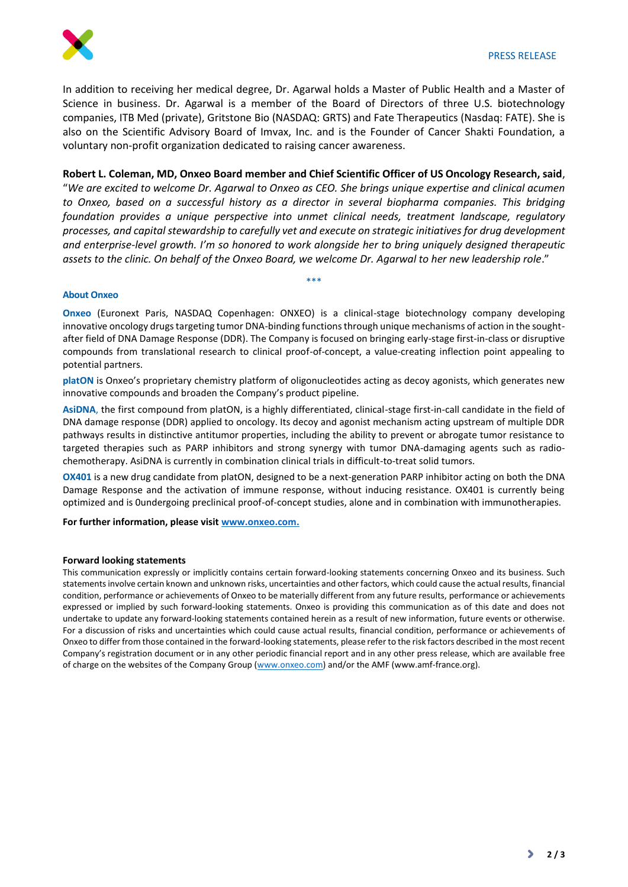

In addition to receiving her medical degree, Dr. Agarwal holds a Master of Public Health and a Master of Science in business. Dr. Agarwal is a member of the Board of Directors of three U.S. biotechnology companies, ITB Med (private), Gritstone Bio (NASDAQ: GRTS) and Fate Therapeutics (Nasdaq: FATE). She is also on the Scientific Advisory Board of Imvax, Inc. and is the Founder of Cancer Shakti Foundation, a voluntary non-profit organization dedicated to raising cancer awareness.

**Robert L. Coleman, MD, Onxeo Board member and Chief Scientific Officer of US Oncology Research, said**,

"*We are excited to welcome Dr. Agarwal to Onxeo as CEO. She brings unique expertise and clinical acumen to Onxeo, based on a successful history as a director in several biopharma companies. This bridging foundation provides a unique perspective into unmet clinical needs, treatment landscape, regulatory processes, and capital stewardship to carefully vet and execute on strategic initiatives for drug development and enterprise-level growth. I'm so honored to work alongside her to bring uniquely designed therapeutic*  assets to the clinic. On behalf of the Onxeo Board, we welcome Dr. Agarwal to her new leadership role."

\*\*\*

### **About Onxeo**

**Onxeo** (Euronext Paris, NASDAQ Copenhagen: ONXEO) is a clinical-stage biotechnology company developing innovative oncology drugs targeting tumor DNA-binding functions through unique mechanisms of action in the soughtafter field of DNA Damage Response (DDR). The Company is focused on bringing early-stage first-in-class or disruptive compounds from translational research to clinical proof-of-concept, a value-creating inflection point appealing to potential partners.

**platON** is Onxeo's proprietary chemistry platform of oligonucleotides acting as decoy agonists, which generates new innovative compounds and broaden the Company's product pipeline.

**AsiDNA**, the first compound from platON, is a highly differentiated, clinical-stage first-in-call candidate in the field of DNA damage response (DDR) applied to oncology. Its decoy and agonist mechanism acting upstream of multiple DDR pathways results in distinctive antitumor properties, including the ability to prevent or abrogate tumor resistance to targeted therapies such as PARP inhibitors and strong synergy with tumor DNA-damaging agents such as radiochemotherapy. AsiDNA is currently in combination clinical trials in difficult-to-treat solid tumors.

**OX401** is a new drug candidate from platON, designed to be a next-generation PARP inhibitor acting on both the DNA Damage Response and the activation of immune response, without inducing resistance. OX401 is currently being optimized and is 0undergoing preclinical proof-of-concept studies, alone and in combination with immunotherapies.

**For further information, please visit [www.onxeo.com.](http://www.onxeo.com/)**

#### **Forward looking statements**

This communication expressly or implicitly contains certain forward-looking statements concerning Onxeo and its business. Such statements involve certain known and unknown risks, uncertainties and other factors, which could cause the actual results, financial condition, performance or achievements of Onxeo to be materially different from any future results, performance or achievements expressed or implied by such forward-looking statements. Onxeo is providing this communication as of this date and does not undertake to update any forward-looking statements contained herein as a result of new information, future events or otherwise. For a discussion of risks and uncertainties which could cause actual results, financial condition, performance or achievements of Onxeo to differ from those contained in the forward-looking statements, please refer to the risk factors described in the most recent Company's registration document or in any other periodic financial report and in any other press release, which are available free of charge on the websites of the Company Group [\(www.onxeo.com\)](http://www.onxeo.com/) and/or the AMF [\(www.amf-france.org\)](http://www.amf-france.org/).